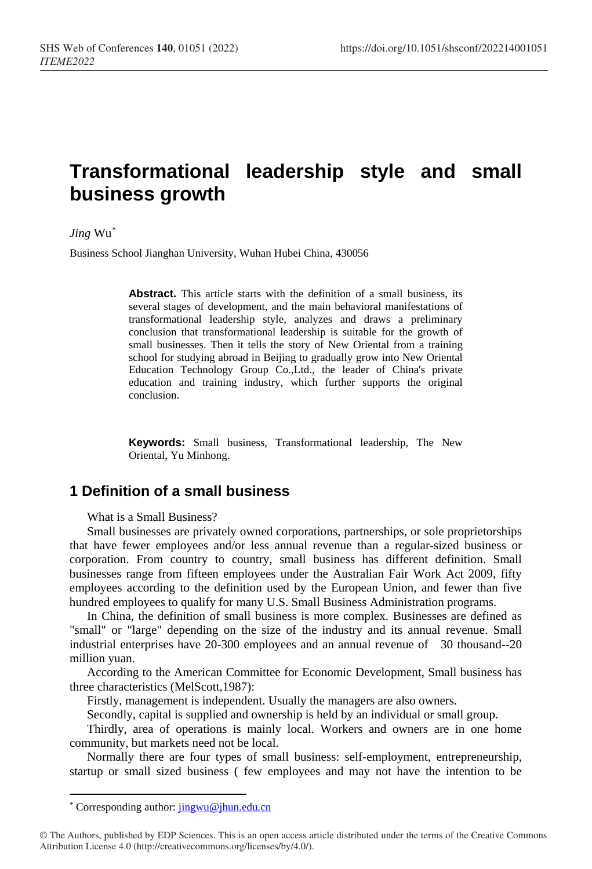# **Transformational leadership style and small business growth**

#### *Jing* Wu[\\*](#page-0-0)

Business School Jianghan University, Wuhan Hubei China, 430056

**Abstract.** This article starts with the definition of a small business, its several stages of development, and the main behavioral manifestations of transformational leadership style, analyzes and draws a preliminary conclusion that transformational leadership is suitable for the growth of small businesses. Then it tells the story of New Oriental from a training school for studying abroad in Beijing to gradually grow into New Oriental Education Technology Group Co.,Ltd., the leader of China's private education and training industry, which further supports the original conclusion.

**Keywords:** Small business, Transformational leadership, The New Oriental, Yu Minhong.

# **1 Definition of a small business**

What is a Small Business?

Small businesses are privately owned corporations, partnerships, or sole proprietorships that have fewer employees and/or less annual revenue than a regular-sized business or corporation. From country to country, small business has different definition. Small businesses range from fifteen employees under the Australian Fair Work Act 2009, fifty employees according to the definition used by the European Union, and fewer than five hundred employees to qualify for many U.S. Small Business Administration programs.

In China, the definition of small business is more complex. Businesses are defined as "small" or "large" depending on the size of the industry and its annual revenue. Small industrial enterprises have 20-300 employees and an annual revenue of 30 thousand--20 million yuan.

According to the American Committee for Economic Development, Small business has three characteristics (MelScott,1987):

Firstly, management is independent. Usually the managers are also owners.

Secondly, capital is supplied and ownership is held by an individual or small group.

Thirdly, area of operations is mainly local. Workers and owners are in one home community, but markets need not be local.

Normally there are four types of small business: self-employment, entrepreneurship, startup or small sized business ( few employees and may not have the intention to be

 $\overline{a}$ 

<sup>\*</sup> Corresponding author: jingwu@jhun.edu.cn

<span id="page-0-0"></span><sup>©</sup> The Authors, published by EDP Sciences. This is an open access article distributed under the terms of the Creative Commons Attribution License 4.0 (http://creativecommons.org/licenses/by/4.0/).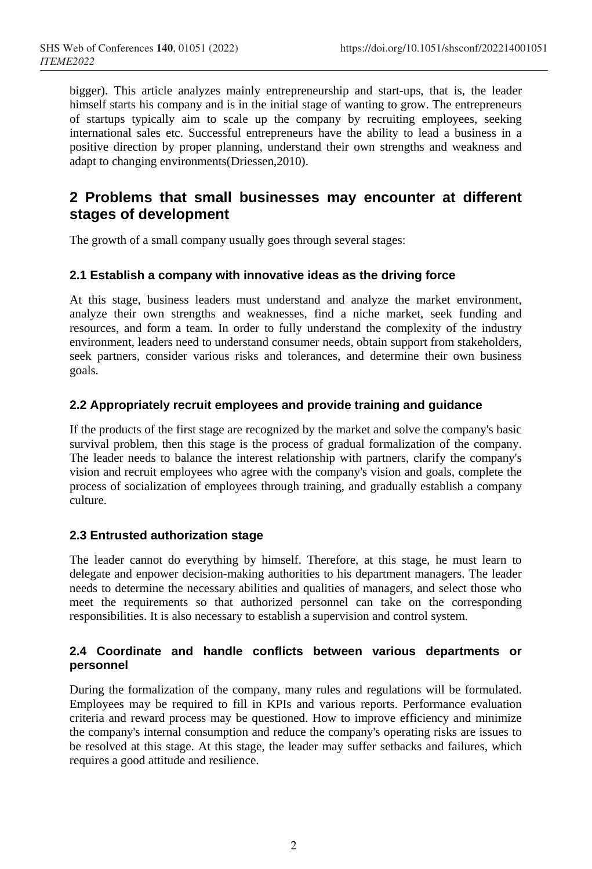bigger). This article analyzes mainly entrepreneurship and start-ups, that is, the leader himself starts his company and is in the initial stage of wanting to grow. The entrepreneurs of startups typically aim to scale up the company by recruiting employees, seeking international sales etc. Successful entrepreneurs have the ability to lead a business in a positive direction by proper planning, understand their own strengths and weakness and adapt to changing environments(Driessen,2010).

# **2 Problems that small businesses may encounter at different stages of development**

The growth of a small company usually goes through several stages:

# **2.1 Establish a company with innovative ideas as the driving force**

At this stage, business leaders must understand and analyze the market environment, analyze their own strengths and weaknesses, find a niche market, seek funding and resources, and form a team. In order to fully understand the complexity of the industry environment, leaders need to understand consumer needs, obtain support from stakeholders, seek partners, consider various risks and tolerances, and determine their own business goals.

# **2.2 Appropriately recruit employees and provide training and guidance**

If the products of the first stage are recognized by the market and solve the company's basic survival problem, then this stage is the process of gradual formalization of the company. The leader needs to balance the interest relationship with partners, clarify the company's vision and recruit employees who agree with the company's vision and goals, complete the process of socialization of employees through training, and gradually establish a company culture.

# **2.3 Entrusted authorization stage**

The leader cannot do everything by himself. Therefore, at this stage, he must learn to delegate and enpower decision-making authorities to his department managers. The leader needs to determine the necessary abilities and qualities of managers, and select those who meet the requirements so that authorized personnel can take on the corresponding responsibilities. It is also necessary to establish a supervision and control system.

# **2.4 Coordinate and handle conflicts between various departments or personnel**

During the formalization of the company, many rules and regulations will be formulated. Employees may be required to fill in KPIs and various reports. Performance evaluation criteria and reward process may be questioned. How to improve efficiency and minimize the company's internal consumption and reduce the company's operating risks are issues to be resolved at this stage. At this stage, the leader may suffer setbacks and failures, which requires a good attitude and resilience.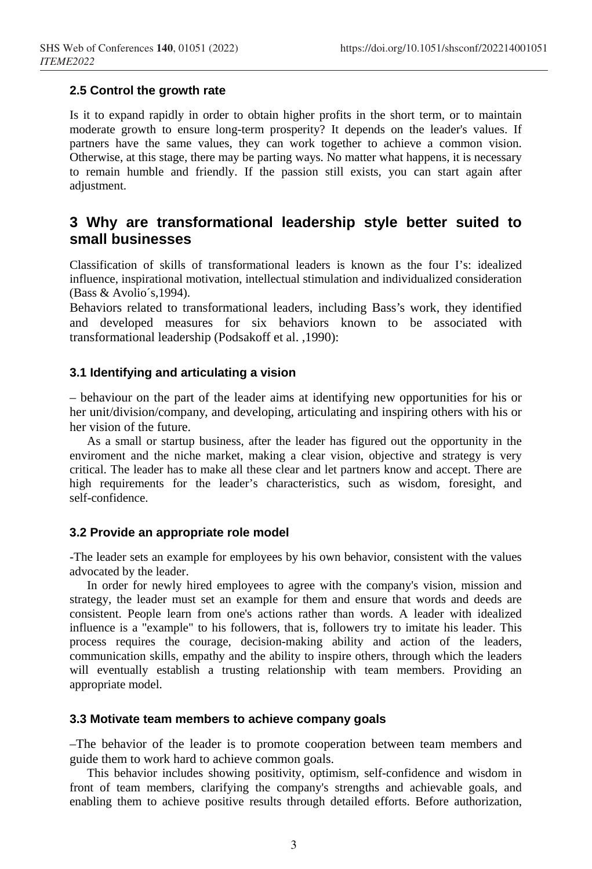## **2.5 Control the growth rate**

Is it to expand rapidly in order to obtain higher profits in the short term, or to maintain moderate growth to ensure long-term prosperity? It depends on the leader's values. If partners have the same values, they can work together to achieve a common vision. Otherwise, at this stage, there may be parting ways. No matter what happens, it is necessary to remain humble and friendly. If the passion still exists, you can start again after adjustment.

# **3 Why are transformational leadership style better suited to small businesses**

Classification of skills of transformational leaders is known as the four I's: idealized influence, inspirational motivation, intellectual stimulation and individualized consideration (Bass & Avolio´s,1994).

Behaviors related to transformational leaders, including Bass's work, they identified and developed measures for six behaviors known to be associated with transformational leadership (Podsakoff et al. ,1990):

#### **3.1 Identifying and articulating a vision**

– behaviour on the part of the leader aims at identifying new opportunities for his or her unit/division/company, and developing, articulating and inspiring others with his or her vision of the future.

As a small or startup business, after the leader has figured out the opportunity in the enviroment and the niche market, making a clear vision, objective and strategy is very critical. The leader has to make all these clear and let partners know and accept. There are high requirements for the leader's characteristics, such as wisdom, foresight, and self-confidence.

#### **3.2 Provide an appropriate role model**

-The leader sets an example for employees by his own behavior, consistent with the values advocated by the leader.

In order for newly hired employees to agree with the company's vision, mission and strategy, the leader must set an example for them and ensure that words and deeds are consistent. People learn from one's actions rather than words. A leader with idealized influence is a "example" to his followers, that is, followers try to imitate his leader. This process requires the courage, decision-making ability and action of the leaders, communication skills, empathy and the ability to inspire others, through which the leaders will eventually establish a trusting relationship with team members. Providing an appropriate model.

# **3.3 Motivate team members to achieve company goals**

–The behavior of the leader is to promote cooperation between team members and guide them to work hard to achieve common goals.

This behavior includes showing positivity, optimism, self-confidence and wisdom in front of team members, clarifying the company's strengths and achievable goals, and enabling them to achieve positive results through detailed efforts. Before authorization,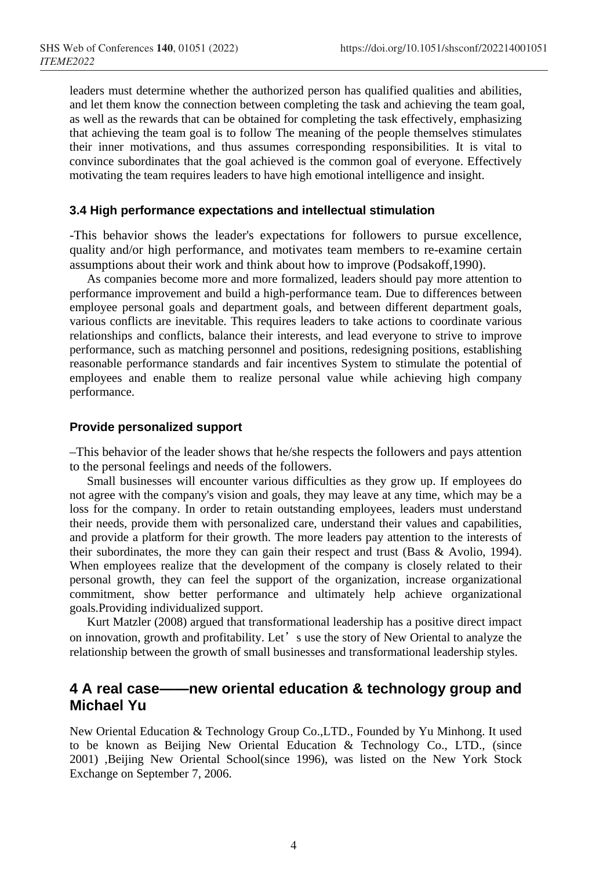leaders must determine whether the authorized person has qualified qualities and abilities, and let them know the connection between completing the task and achieving the team goal, as well as the rewards that can be obtained for completing the task effectively, emphasizing that achieving the team goal is to follow The meaning of the people themselves stimulates their inner motivations, and thus assumes corresponding responsibilities. It is vital to convince subordinates that the goal achieved is the common goal of everyone. Effectively motivating the team requires leaders to have high emotional intelligence and insight.

### **3.4 High performance expectations and intellectual stimulation**

-This behavior shows the leader's expectations for followers to pursue excellence, quality and/or high performance, and motivates team members to re-examine certain assumptions about their work and think about how to improve (Podsakoff,1990).

As companies become more and more formalized, leaders should pay more attention to performance improvement and build a high-performance team. Due to differences between employee personal goals and department goals, and between different department goals, various conflicts are inevitable. This requires leaders to take actions to coordinate various relationships and conflicts, balance their interests, and lead everyone to strive to improve performance, such as matching personnel and positions, redesigning positions, establishing reasonable performance standards and fair incentives System to stimulate the potential of employees and enable them to realize personal value while achieving high company performance.

### **Provide personalized support**

–This behavior of the leader shows that he/she respects the followers and pays attention to the personal feelings and needs of the followers.

Small businesses will encounter various difficulties as they grow up. If employees do not agree with the company's vision and goals, they may leave at any time, which may be a loss for the company. In order to retain outstanding employees, leaders must understand their needs, provide them with personalized care, understand their values and capabilities, and provide a platform for their growth. The more leaders pay attention to the interests of their subordinates, the more they can gain their respect and trust (Bass & Avolio, 1994). When employees realize that the development of the company is closely related to their personal growth, they can feel the support of the organization, increase organizational commitment, show better performance and ultimately help achieve organizational goals.Providing individualized support.

Kurt Matzler (2008) argued that transformational leadership has a positive direct impact on innovation, growth and profitability. Let's use the story of New Oriental to analyze the relationship between the growth of small businesses and transformational leadership styles.

# **4 A real case——new oriental education & technology group and Michael Yu**

New Oriental Education & Technology Group Co.,LTD., Founded by Yu Minhong. It used to be known as Beijing New Oriental Education & Technology Co., LTD., (since 2001) ,Beijing New Oriental School(since 1996), was listed on the New York Stock Exchange on September 7, 2006.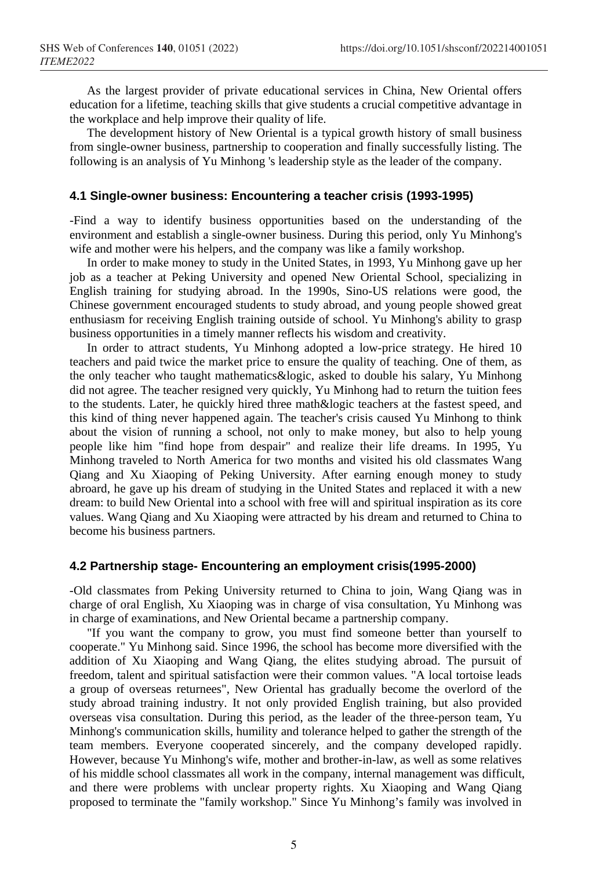As the largest provider of private educational services in China, New Oriental offers education for a lifetime, teaching skills that give students a crucial competitive advantage in the workplace and help improve their quality of life.

The development history of New Oriental is a typical growth history of small business from single-owner business, partnership to cooperation and finally successfully listing. The following is an analysis of Yu Minhong 's leadership style as the leader of the company.

## **4.1 Single-owner business: Encountering a teacher crisis (1993-1995)**

-Find a way to identify business opportunities based on the understanding of the environment and establish a single-owner business. During this period, only Yu Minhong's wife and mother were his helpers, and the company was like a family workshop.

In order to make money to study in the United States, in 1993, Yu Minhong gave up her job as a teacher at Peking University and opened New Oriental School, specializing in English training for studying abroad. In the 1990s, Sino-US relations were good, the Chinese government encouraged students to study abroad, and young people showed great enthusiasm for receiving English training outside of school. Yu Minhong's ability to grasp business opportunities in a timely manner reflects his wisdom and creativity.

In order to attract students, Yu Minhong adopted a low-price strategy. He hired 10 teachers and paid twice the market price to ensure the quality of teaching. One of them, as the only teacher who taught mathematics&logic, asked to double his salary, Yu Minhong did not agree. The teacher resigned very quickly, Yu Minhong had to return the tuition fees to the students. Later, he quickly hired three math&logic teachers at the fastest speed, and this kind of thing never happened again. The teacher's crisis caused Yu Minhong to think about the vision of running a school, not only to make money, but also to help young people like him "find hope from despair" and realize their life dreams. In 1995, Yu Minhong traveled to North America for two months and visited his old classmates Wang Qiang and Xu Xiaoping of Peking University. After earning enough money to study abroard, he gave up his dream of studying in the United States and replaced it with a new dream: to build New Oriental into a school with free will and spiritual inspiration as its core values. Wang Qiang and Xu Xiaoping were attracted by his dream and returned to China to become his business partners.

#### **4.2 Partnership stage- Encountering an employment crisis(1995-2000)**

-Old classmates from Peking University returned to China to join, Wang Qiang was in charge of oral English, Xu Xiaoping was in charge of visa consultation, Yu Minhong was in charge of examinations, and New Oriental became a partnership company.

"If you want the company to grow, you must find someone better than yourself to cooperate." Yu Minhong said. Since 1996, the school has become more diversified with the addition of Xu Xiaoping and Wang Qiang, the elites studying abroad. The pursuit of freedom, talent and spiritual satisfaction were their common values. "A local tortoise leads a group of overseas returnees", New Oriental has gradually become the overlord of the study abroad training industry. It not only provided English training, but also provided overseas visa consultation. During this period, as the leader of the three-person team, Yu Minhong's communication skills, humility and tolerance helped to gather the strength of the team members. Everyone cooperated sincerely, and the company developed rapidly. However, because Yu Minhong's wife, mother and brother-in-law, as well as some relatives of his middle school classmates all work in the company, internal management was difficult, and there were problems with unclear property rights. Xu Xiaoping and Wang Qiang proposed to terminate the "family workshop." Since Yu Minhong's family was involved in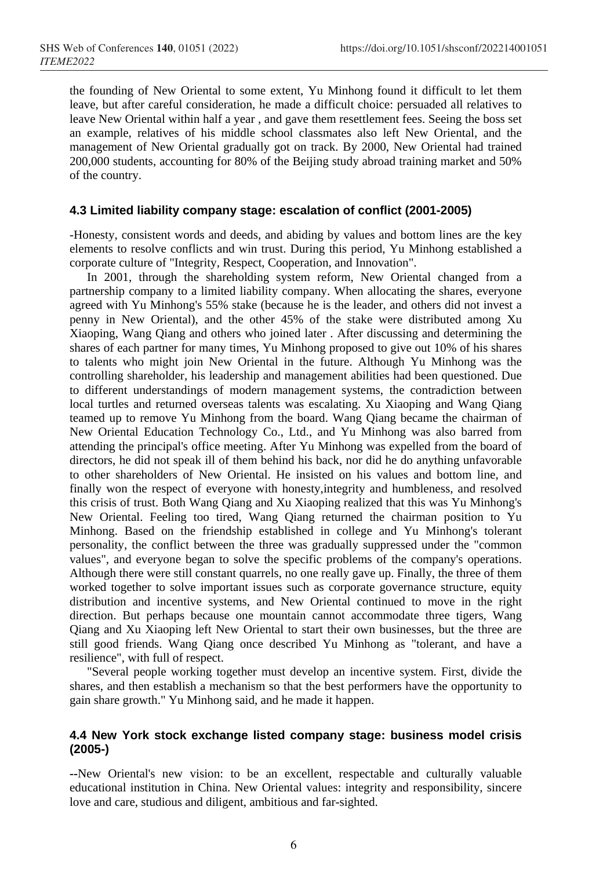the founding of New Oriental to some extent, Yu Minhong found it difficult to let them leave, but after careful consideration, he made a difficult choice: persuaded all relatives to leave New Oriental within half a year , and gave them resettlement fees. Seeing the boss set an example, relatives of his middle school classmates also left New Oriental, and the management of New Oriental gradually got on track. By 2000, New Oriental had trained 200,000 students, accounting for 80% of the Beijing study abroad training market and 50% of the country.

### **4.3 Limited liability company stage: escalation of conflict (2001-2005)**

-Honesty, consistent words and deeds, and abiding by values and bottom lines are the key elements to resolve conflicts and win trust. During this period, Yu Minhong established a corporate culture of "Integrity, Respect, Cooperation, and Innovation".

In 2001, through the shareholding system reform, New Oriental changed from a partnership company to a limited liability company. When allocating the shares, everyone agreed with Yu Minhong's 55% stake (because he is the leader, and others did not invest a penny in New Oriental), and the other 45% of the stake were distributed among Xu Xiaoping, Wang Qiang and others who joined later . After discussing and determining the shares of each partner for many times, Yu Minhong proposed to give out 10% of his shares to talents who might join New Oriental in the future. Although Yu Minhong was the controlling shareholder, his leadership and management abilities had been questioned. Due to different understandings of modern management systems, the contradiction between local turtles and returned overseas talents was escalating. Xu Xiaoping and Wang Qiang teamed up to remove Yu Minhong from the board. Wang Qiang became the chairman of New Oriental Education Technology Co., Ltd., and Yu Minhong was also barred from attending the principal's office meeting. After Yu Minhong was expelled from the board of directors, he did not speak ill of them behind his back, nor did he do anything unfavorable to other shareholders of New Oriental. He insisted on his values and bottom line, and finally won the respect of everyone with honesty,integrity and humbleness, and resolved this crisis of trust. Both Wang Qiang and Xu Xiaoping realized that this was Yu Minhong's New Oriental. Feeling too tired, Wang Qiang returned the chairman position to Yu Minhong. Based on the friendship established in college and Yu Minhong's tolerant personality, the conflict between the three was gradually suppressed under the "common values", and everyone began to solve the specific problems of the company's operations. Although there were still constant quarrels, no one really gave up. Finally, the three of them worked together to solve important issues such as corporate governance structure, equity distribution and incentive systems, and New Oriental continued to move in the right direction. But perhaps because one mountain cannot accommodate three tigers, Wang Qiang and Xu Xiaoping left New Oriental to start their own businesses, but the three are still good friends. Wang Qiang once described Yu Minhong as "tolerant, and have a resilience", with full of respect.

"Several people working together must develop an incentive system. First, divide the shares, and then establish a mechanism so that the best performers have the opportunity to gain share growth." Yu Minhong said, and he made it happen.

# **4.4 New York stock exchange listed company stage: business model crisis (2005-)**

**--**New Oriental's new vision: to be an excellent, respectable and culturally valuable educational institution in China. New Oriental values: integrity and responsibility, sincere love and care, studious and diligent, ambitious and far-sighted.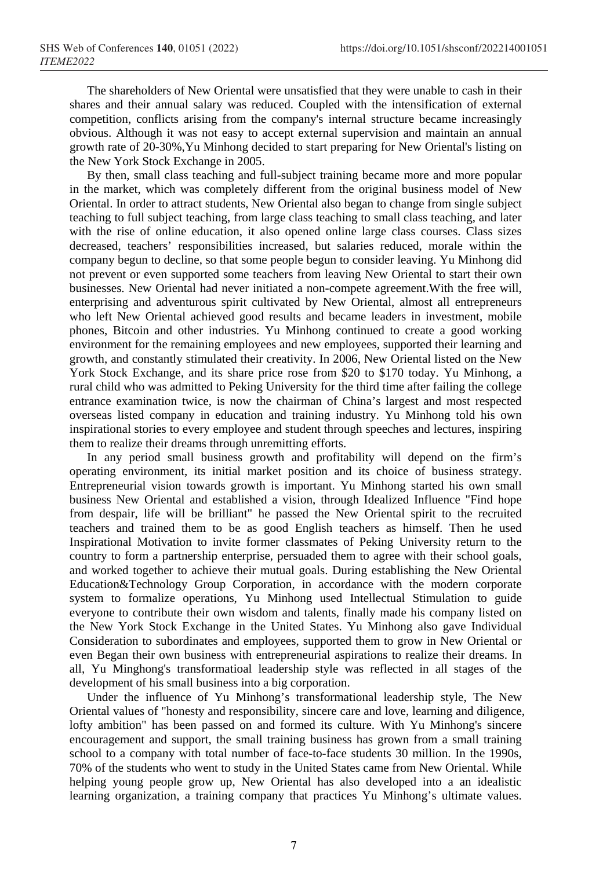The shareholders of New Oriental were unsatisfied that they were unable to cash in their shares and their annual salary was reduced. Coupled with the intensification of external competition, conflicts arising from the company's internal structure became increasingly obvious. Although it was not easy to accept external supervision and maintain an annual growth rate of 20-30%,Yu Minhong decided to start preparing for New Oriental's listing on the New York Stock Exchange in 2005.

By then, small class teaching and full-subject training became more and more popular in the market, which was completely different from the original business model of New Oriental. In order to attract students, New Oriental also began to change from single subject teaching to full subject teaching, from large class teaching to small class teaching, and later with the rise of online education, it also opened online large class courses. Class sizes decreased, teachers' responsibilities increased, but salaries reduced, morale within the company begun to decline, so that some people begun to consider leaving. Yu Minhong did not prevent or even supported some teachers from leaving New Oriental to start their own businesses. New Oriental had never initiated a non-compete agreement.With the free will, enterprising and adventurous spirit cultivated by New Oriental, almost all entrepreneurs who left New Oriental achieved good results and became leaders in investment, mobile phones, Bitcoin and other industries. Yu Minhong continued to create a good working environment for the remaining employees and new employees, supported their learning and growth, and constantly stimulated their creativity. In 2006, New Oriental listed on the New York Stock Exchange, and its share price rose from \$20 to \$170 today. Yu Minhong, a rural child who was admitted to Peking University for the third time after failing the college entrance examination twice, is now the chairman of China's largest and most respected overseas listed company in education and training industry. Yu Minhong told his own inspirational stories to every employee and student through speeches and lectures, inspiring them to realize their dreams through unremitting efforts.

In any period small business growth and profitability will depend on the firm's operating environment, its initial market position and its choice of business strategy. Entrepreneurial vision towards growth is important. Yu Minhong started his own small business New Oriental and established a vision, through Idealized Influence "Find hope from despair, life will be brilliant" he passed the New Oriental spirit to the recruited teachers and trained them to be as good English teachers as himself. Then he used Inspirational Motivation to invite former classmates of Peking University return to the country to form a partnership enterprise, persuaded them to agree with their school goals, and worked together to achieve their mutual goals. During establishing the New Oriental Education&Technology Group Corporation, in accordance with the modern corporate system to formalize operations, Yu Minhong used Intellectual Stimulation to guide everyone to contribute their own wisdom and talents, finally made his company listed on the New York Stock Exchange in the United States. Yu Minhong also gave Individual Consideration to subordinates and employees, supported them to grow in New Oriental or even Began their own business with entrepreneurial aspirations to realize their dreams. In all, Yu Minghong's transformatioal leadership style was reflected in all stages of the development of his small business into a big corporation.

Under the influence of Yu Minhong's transformational leadership style, The New Oriental values of "honesty and responsibility, sincere care and love, learning and diligence, lofty ambition" has been passed on and formed its culture. With Yu Minhong's sincere encouragement and support, the small training business has grown from a small training school to a company with total number of face-to-face students 30 million. In the 1990s, 70% of the students who went to study in the United States came from New Oriental. While helping young people grow up, New Oriental has also developed into a an idealistic learning organization, a training company that practices Yu Minhong's ultimate values.